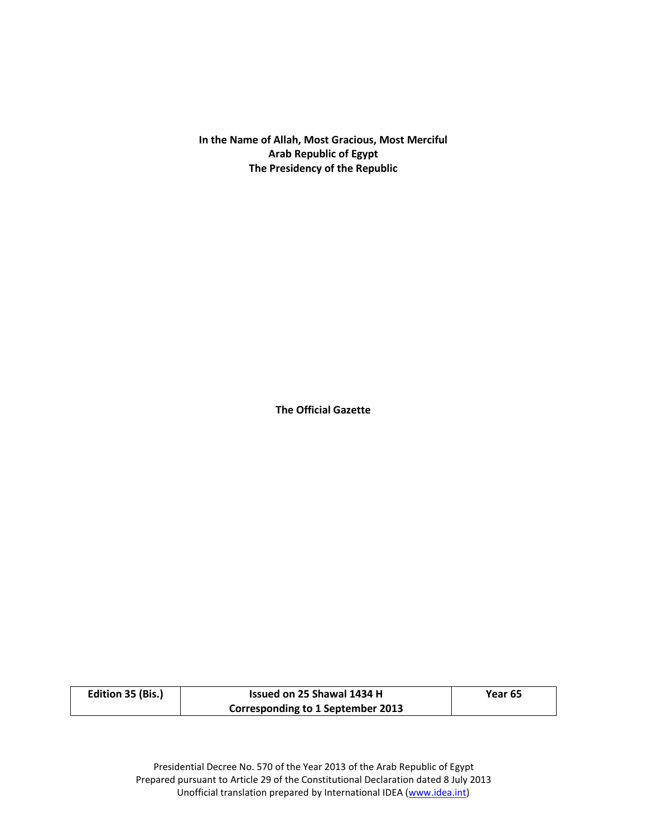**In the Name of Allah, Most Gracious, Most Merciful Arab Republic of Egypt The Presidency of the Republic**

**The Official Gazette**

| Edition 35 (Bis.) | Issued on 25 Shawal 1434 H               | Year 65 |
|-------------------|------------------------------------------|---------|
|                   | <b>Corresponding to 1 September 2013</b> |         |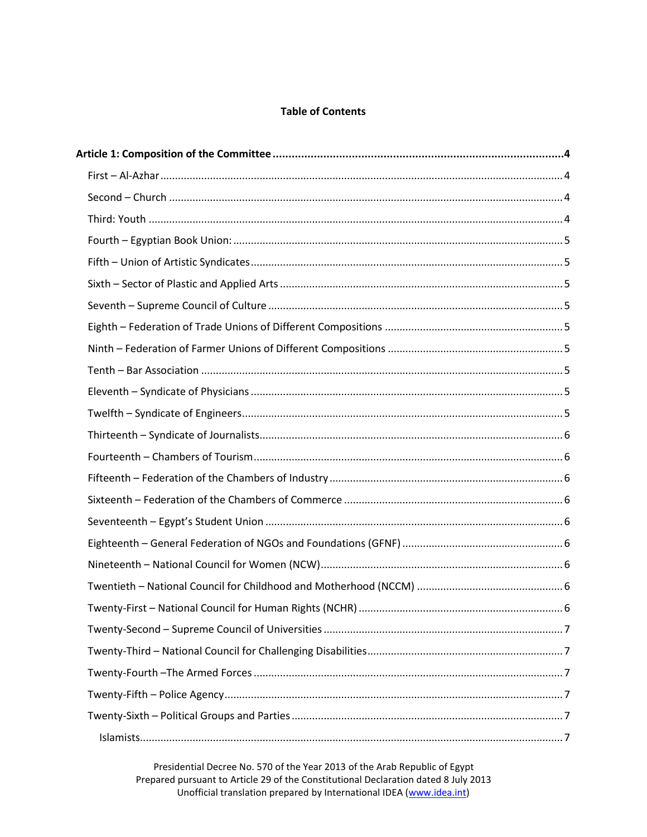# **Table of Contents**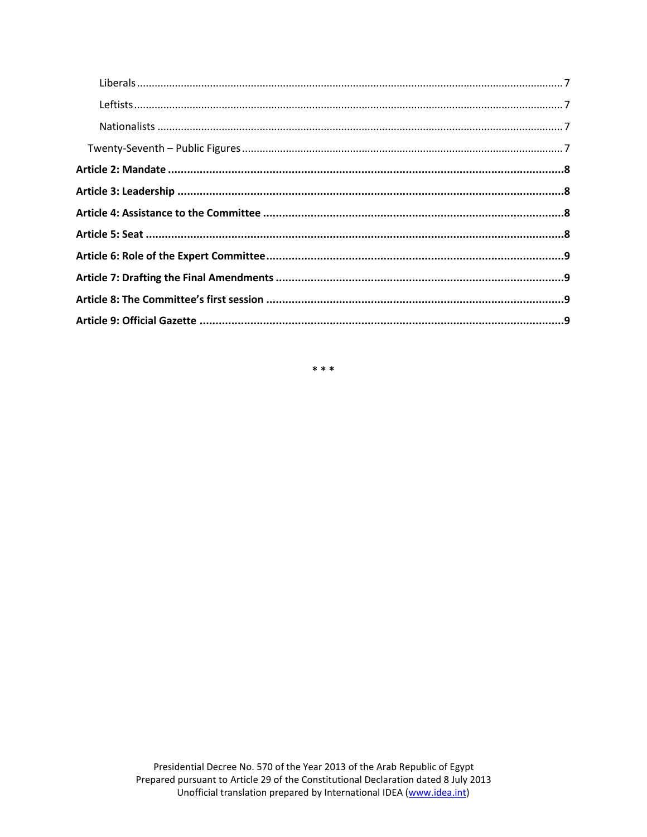$\ast\ast\ast$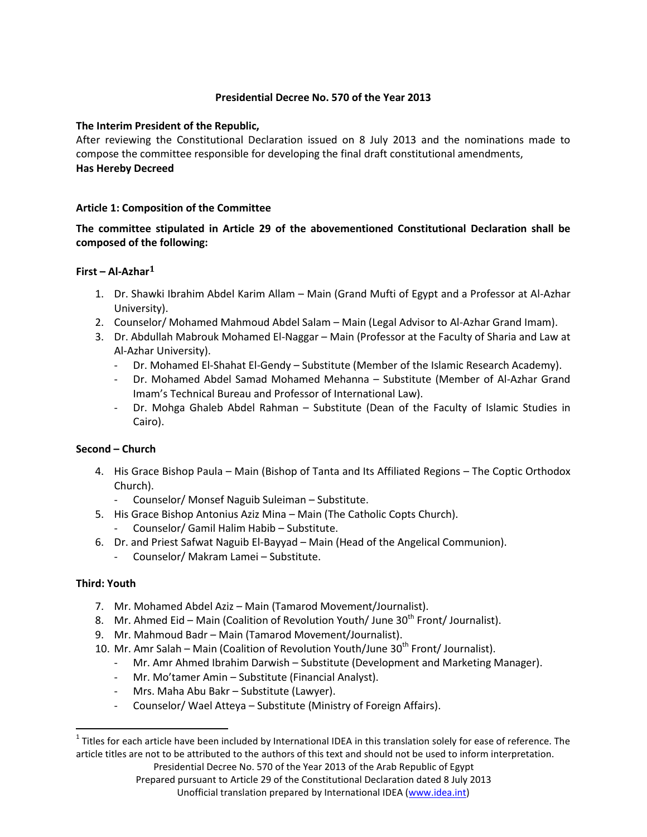## **Presidential Decree No. 570 of the Year 2013**

## **The Interim President of the Republic,**

After reviewing the Constitutional Declaration issued on 8 July 2013 and the nominations made to compose the committee responsible for developing the final draft constitutional amendments, **Has Hereby Decreed**

# <span id="page-3-0"></span>**Article 1: Composition of the Committee**

# **The committee stipulated in Article 29 of the abovementioned Constitutional Declaration shall be composed of the following:**

# <span id="page-3-1"></span>**First – Al-Azhar<sup>1</sup>**

- 1. Dr. Shawki Ibrahim Abdel Karim Allam Main (Grand Mufti of Egypt and a Professor at Al-Azhar University).
- 2. Counselor/ Mohamed Mahmoud Abdel Salam Main (Legal Advisor to Al-Azhar Grand Imam).
- 3. Dr. Abdullah Mabrouk Mohamed El-Naggar Main (Professor at the Faculty of Sharia and Law at Al-Azhar University).
	- Dr. Mohamed El-Shahat El-Gendy Substitute (Member of the Islamic Research Academy).
	- Dr. Mohamed Abdel Samad Mohamed Mehanna Substitute (Member of Al-Azhar Grand Imam's Technical Bureau and Professor of International Law).
	- Dr. Mohga Ghaleb Abdel Rahman Substitute (Dean of the Faculty of Islamic Studies in Cairo).

# <span id="page-3-2"></span>**Second – Church**

- 4. His Grace Bishop Paula Main (Bishop of Tanta and Its Affiliated Regions The Coptic Orthodox Church).
	- Counselor/ Monsef Naguib Suleiman Substitute.
- 5. His Grace Bishop Antonius Aziz Mina Main (The Catholic Copts Church).
	- Counselor/ Gamil Halim Habib Substitute.
- 6. Dr. and Priest Safwat Naguib El-Bayyad Main (Head of the Angelical Communion).
	- Counselor/ Makram Lamei Substitute.

# <span id="page-3-3"></span>**Third: Youth**

l

- 7. Mr. Mohamed Abdel Aziz Main (Tamarod Movement/Journalist).
- 8. Mr. Ahmed Eid Main (Coalition of Revolution Youth/ June 30<sup>th</sup> Front/ Journalist).
- 9. Mr. Mahmoud Badr Main (Tamarod Movement/Journalist).
- 10. Mr. Amr Salah Main (Coalition of Revolution Youth/June 30<sup>th</sup> Front/ Journalist).
	- Mr. Amr Ahmed Ibrahim Darwish Substitute (Development and Marketing Manager).
	- Mr. Mo'tamer Amin Substitute (Financial Analyst).
	- Mrs. Maha Abu Bakr Substitute (Lawyer).
	- Counselor/ Wael Atteya Substitute (Ministry of Foreign Affairs).

 $^1$  Titles for each article have been included by International IDEA in this translation solely for ease of reference. The article titles are not to be attributed to the authors of this text and should not be used to inform interpretation.

Presidential Decree No. 570 of the Year 2013 of the Arab Republic of Egypt Prepared pursuant to Article 29 of the Constitutional Declaration dated 8 July 2013 Unofficial translation prepared by International IDEA (www.idea.int)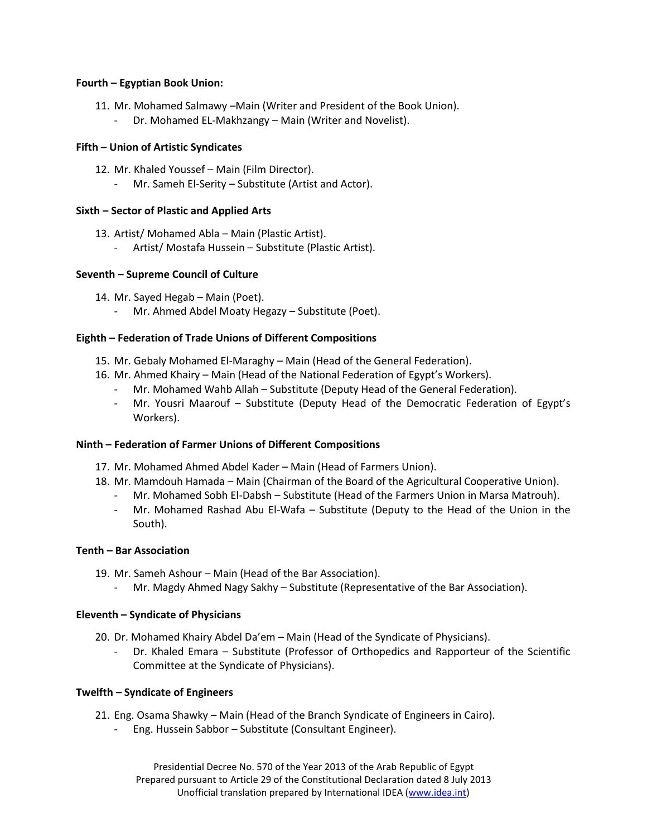### <span id="page-4-0"></span>**Fourth – Egyptian Book Union:**

- 11. Mr. Mohamed Salmawy –Main (Writer and President of the Book Union).
	- Dr. Mohamed EL-Makhzangy Main (Writer and Novelist).

## <span id="page-4-1"></span>**Fifth – Union of Artistic Syndicates**

- 12. Mr. Khaled Youssef Main (Film Director).
	- Mr. Sameh El-Serity Substitute (Artist and Actor).

## <span id="page-4-2"></span>**Sixth – Sector of Plastic and Applied Arts**

- 13. Artist/ Mohamed Abla Main (Plastic Artist).
	- Artist/ Mostafa Hussein Substitute (Plastic Artist).

# <span id="page-4-3"></span>**Seventh – Supreme Council of Culture**

- 14. Mr. Sayed Hegab Main (Poet).
	- Mr. Ahmed Abdel Moaty Hegazy Substitute (Poet).

# <span id="page-4-4"></span>**Eighth – Federation of Trade Unions of Different Compositions**

- 15. Mr. Gebaly Mohamed El-Maraghy Main (Head of the General Federation).
- 16. Mr. Ahmed Khairy Main (Head of the National Federation of Egypt's Workers).
	- Mr. Mohamed Wahb Allah Substitute (Deputy Head of the General Federation).
	- Mr. Yousri Maarouf Substitute (Deputy Head of the Democratic Federation of Egypt's Workers).

## <span id="page-4-5"></span>**Ninth – Federation of Farmer Unions of Different Compositions**

- 17. Mr. Mohamed Ahmed Abdel Kader Main (Head of Farmers Union).
- 18. Mr. Mamdouh Hamada Main (Chairman of the Board of the Agricultural Cooperative Union).
	- Mr. Mohamed Sobh El-Dabsh Substitute (Head of the Farmers Union in Marsa Matrouh).
	- Mr. Mohamed Rashad Abu El-Wafa Substitute (Deputy to the Head of the Union in the South).

## <span id="page-4-6"></span>**Tenth – Bar Association**

- 19. Mr. Sameh Ashour Main (Head of the Bar Association).
	- Mr. Magdy Ahmed Nagy Sakhy Substitute (Representative of the Bar Association).

## <span id="page-4-7"></span>**Eleventh – Syndicate of Physicians**

- 20. Dr. Mohamed Khairy Abdel Da'em Main (Head of the Syndicate of Physicians).
	- Dr. Khaled Emara Substitute (Professor of Orthopedics and Rapporteur of the Scientific Committee at the Syndicate of Physicians).

## <span id="page-4-8"></span>**Twelfth – Syndicate of Engineers**

- 21. Eng. Osama Shawky Main (Head of the Branch Syndicate of Engineers in Cairo).
	- Eng. Hussein Sabbor Substitute (Consultant Engineer).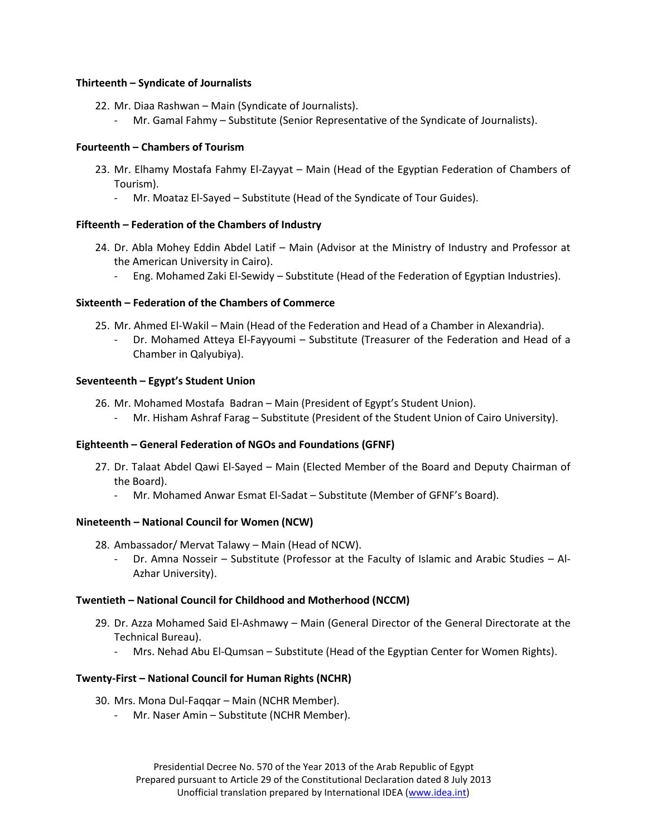### <span id="page-5-0"></span>**Thirteenth – Syndicate of Journalists**

- 22. Mr. Diaa Rashwan Main (Syndicate of Journalists).
	- Mr. Gamal Fahmy Substitute (Senior Representative of the Syndicate of Journalists).

### <span id="page-5-1"></span>**Fourteenth – Chambers of Tourism**

- 23. Mr. Elhamy Mostafa Fahmy El-Zayyat Main (Head of the Egyptian Federation of Chambers of Tourism).
	- Mr. Moataz El-Sayed Substitute (Head of the Syndicate of Tour Guides).

### <span id="page-5-2"></span>**Fifteenth – Federation of the Chambers of Industry**

- 24. Dr. Abla Mohey Eddin Abdel Latif Main (Advisor at the Ministry of Industry and Professor at the American University in Cairo).
	- Eng. Mohamed Zaki El-Sewidy Substitute (Head of the Federation of Egyptian Industries).

### <span id="page-5-3"></span>**Sixteenth – Federation of the Chambers of Commerce**

- 25. Mr. Ahmed El-Wakil Main (Head of the Federation and Head of a Chamber in Alexandria).
	- Dr. Mohamed Atteya El-Fayyoumi Substitute (Treasurer of the Federation and Head of a Chamber in Qalyubiya).

### <span id="page-5-4"></span>**Seventeenth – Egypt's Student Union**

- 26. Mr. Mohamed Mostafa Badran Main (President of Egypt's Student Union).
	- Mr. Hisham Ashraf Farag Substitute (President of the Student Union of Cairo University).

## <span id="page-5-5"></span>**Eighteenth – General Federation of NGOs and Foundations (GFNF)**

- 27. Dr. Talaat Abdel Qawi El-Sayed Main (Elected Member of the Board and Deputy Chairman of the Board).
	- Mr. Mohamed Anwar Esmat El-Sadat Substitute (Member of GFNF's Board).

### <span id="page-5-6"></span>**Nineteenth – National Council for Women (NCW)**

- 28. Ambassador/ Mervat Talawy Main (Head of NCW).
	- Dr. Amna Nosseir Substitute (Professor at the Faculty of Islamic and Arabic Studies Al-Azhar University).

#### <span id="page-5-7"></span>**Twentieth – National Council for Childhood and Motherhood (NCCM)**

- 29. Dr. Azza Mohamed Said El-Ashmawy Main (General Director of the General Directorate at the Technical Bureau).
	- Mrs. Nehad Abu El-Qumsan Substitute (Head of the Egyptian Center for Women Rights).

## <span id="page-5-8"></span>**Twenty-First – National Council for Human Rights (NCHR)**

#### 30. Mrs. Mona Dul-Faqqar – Main (NCHR Member).

Mr. Naser Amin – Substitute (NCHR Member).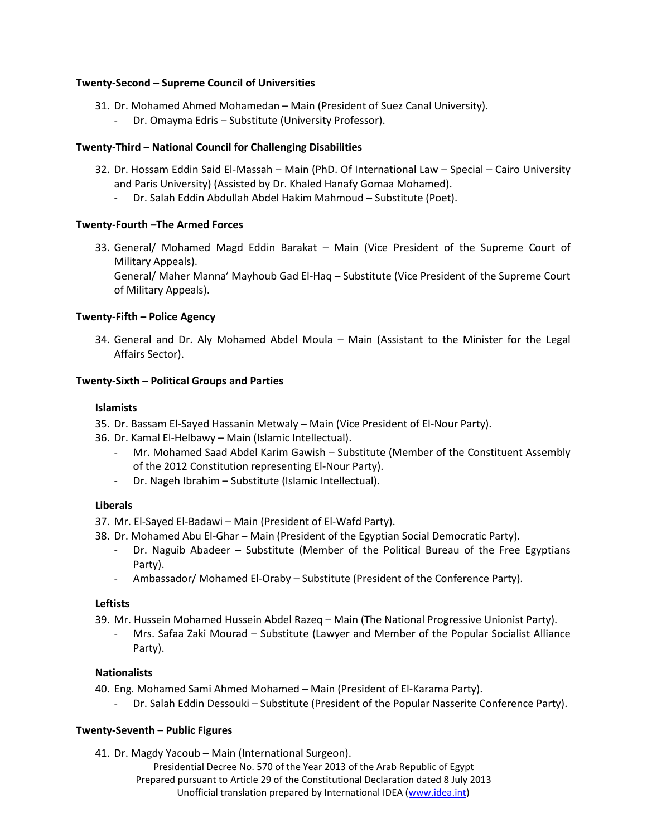### <span id="page-6-0"></span>**Twenty-Second – Supreme Council of Universities**

- 31. Dr. Mohamed Ahmed Mohamedan Main (President of Suez Canal University).
	- Dr. Omayma Edris Substitute (University Professor).

## <span id="page-6-1"></span>**Twenty-Third – National Council for Challenging Disabilities**

- 32. Dr. Hossam Eddin Said El-Massah Main (PhD. Of International Law Special Cairo University and Paris University) (Assisted by Dr. Khaled Hanafy Gomaa Mohamed).
	- Dr. Salah Eddin Abdullah Abdel Hakim Mahmoud Substitute (Poet).

## <span id="page-6-2"></span>**Twenty-Fourth –The Armed Forces**

33. General/ Mohamed Magd Eddin Barakat – Main (Vice President of the Supreme Court of Military Appeals).

General/ Maher Manna' Mayhoub Gad El-Haq – Substitute (Vice President of the Supreme Court of Military Appeals).

## <span id="page-6-3"></span>**Twenty-Fifth – Police Agency**

34. General and Dr. Aly Mohamed Abdel Moula – Main (Assistant to the Minister for the Legal Affairs Sector).

# <span id="page-6-5"></span><span id="page-6-4"></span>**Twenty-Sixth – Political Groups and Parties**

## **Islamists**

- 35. Dr. Bassam El-Sayed Hassanin Metwaly Main (Vice President of El-Nour Party).
- 36. Dr. Kamal El-Helbawy Main (Islamic Intellectual).
	- Mr. Mohamed Saad Abdel Karim Gawish Substitute (Member of the Constituent Assembly of the 2012 Constitution representing El-Nour Party).
	- Dr. Nageh Ibrahim Substitute (Islamic Intellectual).

## <span id="page-6-6"></span>**Liberals**

- 37. Mr. El-Sayed El-Badawi Main (President of El-Wafd Party).
- 38. Dr. Mohamed Abu El-Ghar Main (President of the Egyptian Social Democratic Party).
	- Dr. Naguib Abadeer Substitute (Member of the Political Bureau of the Free Egyptians Party).
	- Ambassador/ Mohamed El-Oraby Substitute (President of the Conference Party).

## <span id="page-6-7"></span>**Leftists**

- 39. Mr. Hussein Mohamed Hussein Abdel Razeq Main (The National Progressive Unionist Party).
	- Mrs. Safaa Zaki Mourad Substitute (Lawyer and Member of the Popular Socialist Alliance Party).

# <span id="page-6-8"></span>**Nationalists**

40. Eng. Mohamed Sami Ahmed Mohamed – Main (President of El-Karama Party).

- Dr. Salah Eddin Dessouki – Substitute (President of the Popular Nasserite Conference Party).

# <span id="page-6-9"></span>**Twenty-Seventh – Public Figures**

41. Dr. Magdy Yacoub – Main (International Surgeon).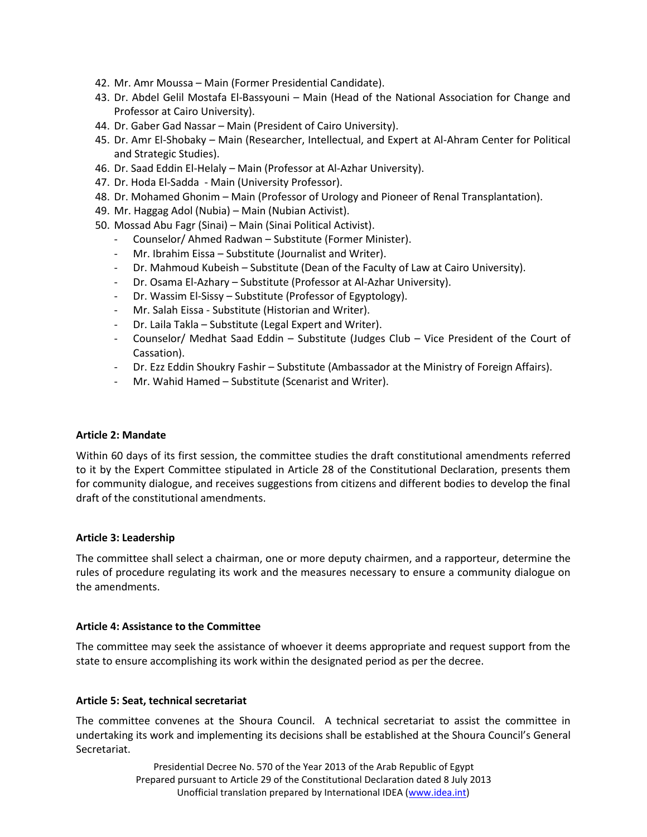- 42. Mr. Amr Moussa Main (Former Presidential Candidate).
- 43. Dr. Abdel Gelil Mostafa El-Bassyouni Main (Head of the National Association for Change and Professor at Cairo University).
- 44. Dr. Gaber Gad Nassar Main (President of Cairo University).
- 45. Dr. Amr El-Shobaky Main (Researcher, Intellectual, and Expert at Al-Ahram Center for Political and Strategic Studies).
- 46. Dr. Saad Eddin El-Helaly Main (Professor at Al-Azhar University).
- 47. Dr. Hoda El-Sadda Main (University Professor).
- 48. Dr. Mohamed Ghonim Main (Professor of Urology and Pioneer of Renal Transplantation).
- 49. Mr. Haggag Adol (Nubia) Main (Nubian Activist).
- 50. Mossad Abu Fagr (Sinai) Main (Sinai Political Activist).
	- Counselor/ Ahmed Radwan Substitute (Former Minister).
	- Mr. Ibrahim Eissa Substitute (Journalist and Writer).
	- Dr. Mahmoud Kubeish Substitute (Dean of the Faculty of Law at Cairo University).
	- Dr. Osama El-Azhary Substitute (Professor at Al-Azhar University).
	- Dr. Wassim El-Sissy Substitute (Professor of Egyptology).
	- Mr. Salah Eissa Substitute (Historian and Writer).
	- Dr. Laila Takla Substitute (Legal Expert and Writer).
	- Counselor/ Medhat Saad Eddin Substitute (Judges Club Vice President of the Court of Cassation).
	- Dr. Ezz Eddin Shoukry Fashir Substitute (Ambassador at the Ministry of Foreign Affairs).
	- Mr. Wahid Hamed Substitute (Scenarist and Writer).

#### <span id="page-7-0"></span>**Article 2: Mandate**

Within 60 days of its first session, the committee studies the draft constitutional amendments referred to it by the Expert Committee stipulated in Article 28 of the Constitutional Declaration, presents them for community dialogue, and receives suggestions from citizens and different bodies to develop the final draft of the constitutional amendments.

#### <span id="page-7-1"></span>**Article 3: Leadership**

The committee shall select a chairman, one or more deputy chairmen, and a rapporteur, determine the rules of procedure regulating its work and the measures necessary to ensure a community dialogue on the amendments.

#### <span id="page-7-2"></span>**Article 4: Assistance to the Committee**

<span id="page-7-3"></span>The committee may seek the assistance of whoever it deems appropriate and request support from the state to ensure accomplishing its work within the designated period as per the decree.

#### **Article 5: Seat, technical secretariat**

The committee convenes at the Shoura Council. A technical secretariat to assist the committee in undertaking its work and implementing its decisions shall be established at the Shoura Council's General Secretariat.